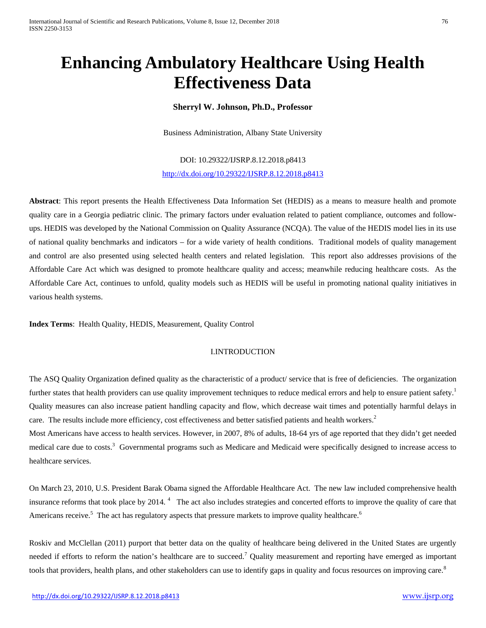# **Enhancing Ambulatory Healthcare Using Health Effectiveness Data**

## **Sherryl W. Johnson, Ph.D., Professor**

Business Administration, Albany State University

DOI: 10.29322/IJSRP.8.12.2018.p8413 <http://dx.doi.org/10.29322/IJSRP.8.12.2018.p8413>

**Abstract**: This report presents the Health Effectiveness Data Information Set (HEDIS) as a means to measure health and promote quality care in a Georgia pediatric clinic. The primary factors under evaluation related to patient compliance, outcomes and followups. HEDIS was developed by the National Commission on Quality Assurance (NCQA). The value of the HEDIS model lies in its use of national quality benchmarks and indicators – for a wide variety of health conditions. Traditional models of quality management and control are also presented using selected health centers and related legislation. This report also addresses provisions of the Affordable Care Act which was designed to promote healthcare quality and access; meanwhile reducing healthcare costs. As the Affordable Care Act, continues to unfold, quality models such as HEDIS will be useful in promoting national quality initiatives in various health systems.

**Index Terms**: Health Quality, HEDIS, Measurement, Quality Control

#### I.INTRODUCTION

The ASQ Quality Organization defined quality as the characteristic of a product/ service that is free of deficiencies. The organization further states that health providers can use quality improvement techniques to reduce medical errors and help to ensure patient safety.<sup>1</sup> Quality measures can also increase patient handling capacity and flow, which decrease wait times and potentially harmful delays in care. The results include more efficiency, cost effectiveness and better satisfied patients and health workers.<sup>2</sup> Most Americans have access to health services. However, in 2007, 8% of adults, 18-64 yrs of age reported that they didn't get needed

medical care due to costs.<sup>3</sup> Governmental programs such as Medicare and Medicaid were specifically designed to increase access to healthcare services.

On March 23, 2010, U.S. President Barak Obama signed the Affordable Healthcare Act. The new law included comprehensive health insurance reforms that took place by 2014.<sup>4</sup> The act also includes strategies and concerted efforts to improve the quality of care that Americans receive.<sup>5</sup> The act has regulatory aspects that pressure markets to improve quality healthcare.<sup>6</sup>

Roskiv and McClellan (2011) purport that better data on the quality of healthcare being delivered in the United States are urgently needed if efforts to reform the nation's healthcare are to succeed.<sup>7</sup> Quality measurement and reporting have emerged as important tools that providers, health plans, and other stakeholders can use to identify gaps in quality and focus resources on improving care.<sup>8</sup>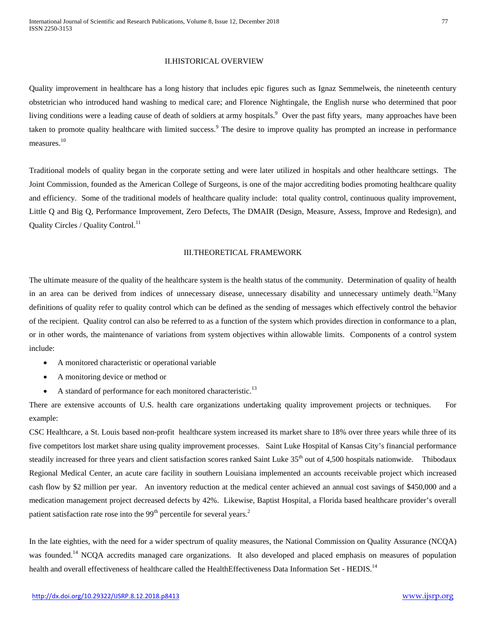## II.HISTORICAL OVERVIEW

Quality improvement in healthcare has a long history that includes epic figures such as Ignaz Semmelweis, the nineteenth century obstetrician who introduced hand washing to medical care; and Florence Nightingale, the English nurse who determined that poor living conditions were a leading cause of death of soldiers at army hospitals.<sup>9</sup> Over the past fifty years, many approaches have been taken to promote quality healthcare with limited success.<sup>9</sup> The desire to improve quality has prompted an increase in performance measures.<sup>10</sup>

Traditional models of quality began in the corporate setting and were later utilized in hospitals and other healthcare settings. The Joint Commission, founded as the American College of Surgeons, is one of the major accrediting bodies promoting healthcare quality and efficiency. Some of the traditional models of healthcare quality include: total quality control, continuous quality improvement, Little Q and Big Q, Performance Improvement, Zero Defects, The DMAIR (Design, Measure, Assess, Improve and Redesign), and Quality Circles / Quality Control.<sup>11</sup>

### III.THEORETICAL FRAMEWORK

The ultimate measure of the quality of the healthcare system is the health status of the community. Determination of quality of health in an area can be derived from indices of unnecessary disease, unnecessary disability and unnecessary untimely death.<sup>12</sup>Many definitions of quality refer to quality control which can be defined as the sending of messages which effectively control the behavior of the recipient. Quality control can also be referred to as a function of the system which provides direction in conformance to a plan, or in other words, the maintenance of variations from system objectives within allowable limits. Components of a control system include:

- A monitored characteristic or operational variable
- A monitoring device or method or
- A standard of performance for each monitored characteristic.<sup>13</sup>

There are extensive accounts of U.S. health care organizations undertaking quality improvement projects or techniques. For example:

CSC Healthcare, a St. Louis based non-profit healthcare system increased its market share to 18% over three years while three of its five competitors lost market share using quality improvement processes. Saint Luke Hospital of Kansas City's financial performance steadily increased for three years and client satisfaction scores ranked Saint Luke  $35<sup>th</sup>$  out of 4,500 hospitals nationwide. Thibodaux Regional Medical Center, an acute care facility in southern Louisiana implemented an accounts receivable project which increased cash flow by \$2 million per year. An inventory reduction at the medical center achieved an annual cost savings of \$450,000 and a medication management project decreased defects by 42%. Likewise, Baptist Hospital, a Florida based healthcare provider's overall patient satisfaction rate rose into the  $99<sup>th</sup>$  percentile for several years.<sup>2</sup>

In the late eighties, with the need for a wider spectrum of quality measures, the National Commission on Quality Assurance (NCQA) was founded.<sup>14</sup> NCQA accredits managed care organizations. It also developed and placed emphasis on measures of population health and overall effectiveness of healthcare called the HealthEffectiveness Data Information Set - HEDIS.<sup>14</sup>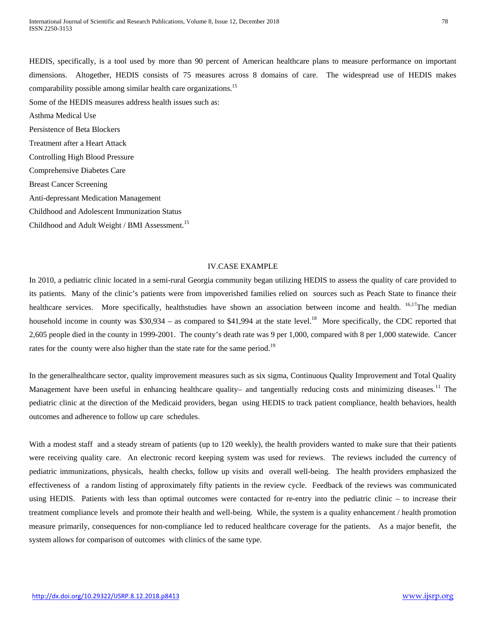HEDIS, specifically, is a tool used by more than 90 percent of American healthcare plans to measure performance on important dimensions. Altogether, HEDIS consists of 75 measures across 8 domains of care. The widespread use of HEDIS makes comparability possible among similar health care organizations.<sup>15</sup> Some of the HEDIS measures address health issues such as: Asthma Medical Use Persistence of Beta Blockers Treatment after a Heart Attack Controlling High Blood Pressure Comprehensive Diabetes Care Breast Cancer Screening Anti-depressant Medication Management Childhood and Adolescent Immunization Status Childhood and Adult Weight / BMI Assessment.<sup>15</sup>

## IV.CASE EXAMPLE

In 2010, a pediatric clinic located in a semi-rural Georgia community began utilizing HEDIS to assess the quality of care provided to its patients. Many of the clinic's patients were from impoverished families relied on sources such as Peach State to finance their healthcare services. More specifically, healthstudies have shown an association between income and health. <sup>16,17</sup>The median household income in county was  $$30,934 -$  as compared to  $$41,994$  at the state level.<sup>18</sup> More specifically, the CDC reported that 2,605 people died in the county in 1999-2001. The county's death rate was 9 per 1,000, compared with 8 per 1,000 statewide. Cancer rates for the county were also higher than the state rate for the same period.<sup>19</sup>

In the generalhealthcare sector, quality improvement measures such as six sigma, Continuous Quality Improvement and Total Quality Management have been useful in enhancing healthcare quality– and tangentially reducing costs and minimizing diseases.<sup>11</sup> The pediatric clinic at the direction of the Medicaid providers, began using HEDIS to track patient compliance, health behaviors, health outcomes and adherence to follow up care schedules.

With a modest staff and a steady stream of patients (up to 120 weekly), the health providers wanted to make sure that their patients were receiving quality care. An electronic record keeping system was used for reviews. The reviews included the currency of pediatric immunizations, physicals, health checks, follow up visits and overall well-being. The health providers emphasized the effectiveness of a random listing of approximately fifty patients in the review cycle. Feedback of the reviews was communicated using HEDIS. Patients with less than optimal outcomes were contacted for re-entry into the pediatric clinic – to increase their treatment compliance levels and promote their health and well-being. While, the system is a quality enhancement / health promotion measure primarily, consequences for non-compliance led to reduced healthcare coverage for the patients. As a major benefit, the system allows for comparison of outcomes with clinics of the same type.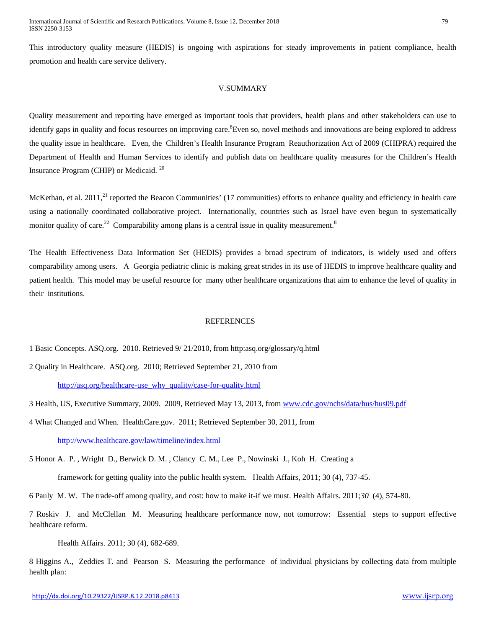This introductory quality measure (HEDIS) is ongoing with aspirations for steady improvements in patient compliance, health promotion and health care service delivery.

#### V.SUMMARY

Quality measurement and reporting have emerged as important tools that providers, health plans and other stakeholders can use to identify gaps in quality and focus resources on improving care.<sup>8</sup> Even so, novel methods and innovations are being explored to address the quality issue in healthcare. Even, the Children's Health Insurance Program Reauthorization Act of 2009 (CHIPRA) required the Department of Health and Human Services to identify and publish data on healthcare quality measures for the Children's Health Insurance Program (CHIP) or Medicaid. <sup>20</sup>

McKethan, et al. 2011,<sup>21</sup> reported the Beacon Communities' (17 communities) efforts to enhance quality and efficiency in health care using a nationally coordinated collaborative project. Internationally, countries such as Israel have even begun to systematically monitor quality of care.<sup>22</sup> Comparability among plans is a central issue in quality measurement.<sup>8</sup>

The Health Effectiveness Data Information Set (HEDIS) provides a broad spectrum of indicators, is widely used and offers comparability among users. A Georgia pediatric clinic is making great strides in its use of HEDIS to improve healthcare quality and patient health. This model may be useful resource for many other healthcare organizations that aim to enhance the level of quality in their institutions.

#### **REFERENCES**

1 Basic Concepts. ASQ.org. 2010. Retrieved 9/ 21/2010, from http:asq.org/glossary/q.html

2 Quality in Healthcare. ASQ.org. 2010; Retrieved September 21, 2010 from

[http://asq.org/healthcare-use\\_why\\_quality/case-for-quality.html](http://asq.org/healthcare-use_why_quality/case-for-quality.html)

3 Health, US, Executive Summary, 2009. 2009, Retrieved May 13, 2013, fro[m www.cdc.gov/nchs/data/hus/hus09.pdf](http://www.cdc.gov/nchs/data/hus/hus09.pdf)

4 What Changed and When. HealthCare.gov. 2011; Retrieved September 30, 2011, from

<http://www.healthcare.gov/law/timeline/index.html>

5 Honor A. P. , Wright D., Berwick D. M. , Clancy C. M., Lee P., Nowinski J., Koh H. Creating a

framework for getting quality into the public health system. Health Affairs, 2011; 30 (4), 737-45.

6 Pauly M. W. The trade-off among quality, and cost: how to make it-if we must. Health Affairs. 2011;*30* (4), 574-80.

7 Roskiv J. and McClellan M. Measuring healthcare performance now, not tomorrow: Essential steps to support effective healthcare reform.

Health Affairs. 2011; 30 (4), 682-689.

8 Higgins A., Zeddies T. and Pearson S. Measuring the performance of individual physicians by collecting data from multiple health plan: